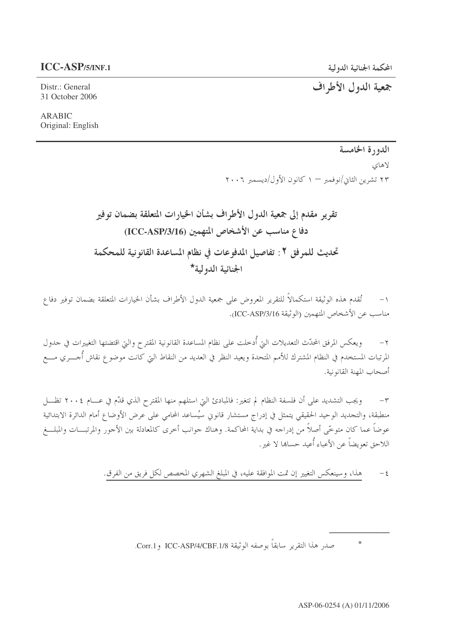جمعية الدول الأطراف

Distr.: General 31 October 2006

**ARABIC** Original: English

> الدورة الخامسة لاهاي ۲۳ تشرین الثانی/نوفمبر — ۱ کانون الأول/دیسمبر ۲۰۰۶

تقرير مقدم إلى جمعية الدول الأطراف بشأن الخيارات المتعلقة بضمان توفير دفاع مناسب عن الأشخاص المتهمين (ICC-ASP/3/16) تحديث للمرفق ٢ : تفاصيل المدفوعات في نظام المساعدة القانونية للمحكمة الجنائية الدولية\*

١– تُقدم هذه الوثيقة استكمالاً للتقرير المعروض على جمعية الدول الأطراف بشأن الخيارات المتعلقة بضمان توفير دفاع مناسب عن الأشخاص المتهمين (الوثيقة ICC-ASP/3/16.

٢– ويعكس المرفق المحدّث التعديلات التي أُدحلت على نظام المساعدة القانونية المقترح والتي اقتضتها التغييرات في حدول المرتبات المستخدم في النظام المشترك للأمم المتحدة ويعيد النظر في العديد من النقاط التي كانت موضوع نقاش أُجـــري مـــع أصحاب المهنة القانو نية.

ويجب التشديد على أن فلسفة النظام لم تتغير: فالمبادئ التي استلهم منها المقترح الذي قدّم في عـــام ٢٠٠٤ تظـــل  $-\tau$ منطبقة، والتحديد الوحيد الحقيقي يتمثل في إدراج مستشار قانوني سيُساعد المحامي على عرض الأوضاع أمام الدائرة الابتدائية عوضاً عما كان متوخَّى أصلاً من إدراجه في بداية المحاكمة. وهناك حوانب أحرى كالمعادلة بين الأحور والمرتبـــات والمبلـــغ اللاحق تعويضاً عن الأعباء أُعيد حساها لا غير .

> هذا، وسينعكس التغيير إن تمت الموافقة عليه، في المبلغ الشهري المخصص لكل فريق من الفرق.  $-\xi$

> > $\ast$ صدر هذا التقرير سابقاً بوصفه الوثيقة ICC-ASP/4/CBF.1/8 و Corr.1.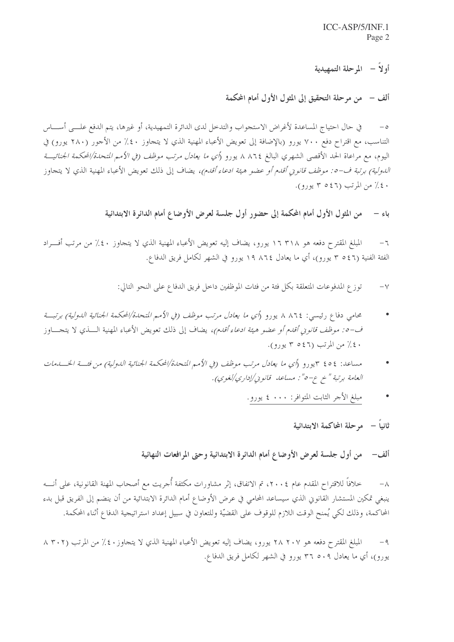أو لاً — المرحلة التمهيدية

ألف – ً من مرحلة التحقيق إلى المثول الأول أمام المحكمة

٥– في حال احتياج المساعدة لأغراض الاستحواب والتدخل لدى الدائرة التمهيدية، أو غيرها، يتم الدفع علـــي أســــاس التناسب، مع اقتراح دفع ٧٠٠ يورو (بالإضافة إلى تعويض الأعباء المهنية الذي لا يتجاوز ٤٠٪ من الأحور (٢٨٠ يورو) في اليوم، مع مراعاة الحد الأقصى الشهري البالغ ٨٦٢٤ لم يورو (*أي ما يعادل مرتب موظف (في الأمم المتحدة/المحكمة الجنائيـــة* ا*لدولية) برتبة ف-٥: موظف قانونى أقدم أو ع*ضو *هيئة ادعاء أقدم)،* يضاف إلى ذلك تعويض الأعباء المهنية الذي لا يتحاوز ٤٠٪ من المرتب (٤٦٥ ٣ يورو).

> من المثول الأول أمام المحكمة إلى حضور أول جلسة لعرض الأوضاع أمام الدائرة الابتدائية باءِ –

المبلغ المقترح دفعه هو ١٦ ٣١٨ يورو، يضاف إليه تعويض الأعباء المهنية الذي لا يتحاوز ٤٠٪ من مرتب أفـــراد  $-7$ الفئة الفنية (٥٤٦ ٣ يورو)، أي ما يعادل ١٩ ٨٦٤ يورو في الشهر لكامل فريق الدفاع.

> توزع المدفوعات المتعلقة بكلِّ فئة من فئات الموظفين داخل فريق الدفاع على النحو التالي:  $-\vee$

- محامي دفاع رئيسي: ٨٦٤ ٨ يورو (أي ما يعادل مرتب موظف (في الأمم المتحدة/المحكمة الجنائية الدولية) برتبــة ف-0: موظف قانوين أقدم أو عضو هيئة ادعاء أقدم)، يضاف إلى ذلك تعويض الأعباء المهنية السذى لا يتجساوز ٤٠٪ من المرتب (٤٦٥ ٣ يورو).
- مساعد: ٤٥٤ ٣يورو (أي ما يعادل مرتب موظف (في الأمم المتحدة/المحكمة الجنائية الدولية) من فئة الخسلهات العامة برتبة " خ ع-٥" : مساعد قانوني/إداري/لغوي).
	- مبلغ الأحر الثابت المتوافر: • ٤ يورو.

ثانياً – موحلة المحاكمة الابتدائية

من أول جلسة لعرض الأوضاع أمام الدائرة الابتدائية وحتى المرافعات النهائية ألف–

خلافاً للاقتراح المقدم عام ٢٠٠٤، تم الاتفاق، إثر مشاورات مكثفة أُجريت مع أصحاب المهنة القانونية، على أنــــه  $-\lambda$ ينبغي تمكين المستشار القانوني الذي سيساعد المحامي في عرض الأوضاع أمام الدائرة الابتدائية من أن ينضم إلى الفريق قبل بدء المحاكمة، وذلك لكي يُمنح الوقت اللازم للوقوف على القضيّة وللتعاون في سبيل إعداد استراتيجية الدفاع أثناء المحكمة.

المبلغ المقترح دفعه هو ٢٨ ٢٠٧ يورو، يضاف إليه تعويض الأعباء المهنية الذي لا يتجاوز ٤٠٪ من المرتب (٢٠٢ ٨  $-9$ يورو)، أي ما يعادل ٢٦ ٥٠٩ يورو في الشهر لكامل فريق الدفاع.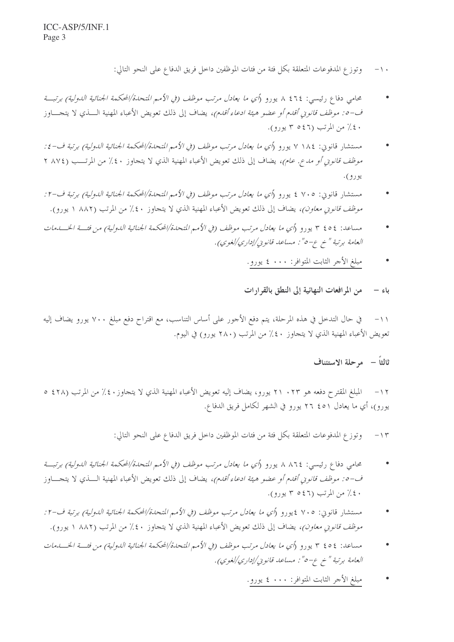- وتوزع المدفوعات المتعلقة بكل فئة من فئات الموظفين داخل فريق الدفاع على النحو التالي:  $-1$ .
- محامي دفاع رئيسي: ٤٦٤ ٨ يورو (*أي ما يعادل مرتب موظف (في الأمم المتحدة/المحكمة الجنائية الدولية) برتبــة* ف-٥: موظف قانوين أقدم أو عضو هيئة ادعاء أقدم)، يضاف إلى ذلك تعويض الأعباء المهنية الـــذي لا يتجــــاوز ٤٠٪ من المرتب (٤٦٥ ٣ يورو).
- مستشار قانوين: ١٨٤ ٧ يورو (أي ما يعادل مرتب موظف (في الأمم المتحدة/المحكمة الجنائية الدولية) برتبة ف-٤: م*وظف قانوني أو مدع. عام)،* يضاف إلى ذلك تعويض الأعباء المهنية الذي لا يتحاوز ٤٠٪ من المرتـــب (٨٧٤ ٢ يورو).
- مستشار قانون: ٧٠٥ ٤ يورو (أي ما يعادل مرتب موظف (في الأمم المتحدة/المحكمة الجنائية الدولية) برتبة ف-٢: م*وظف قانوني معاون)،* يضاف إلى ذلك تعويض الأعباء المهنية الذي لا يتجاوز ٤٠٪ من المرتب (٨٨٢ ١ يورو).
- مساعد: ٢٥٤ ٣ يورو (أي ما يعادل مرتب موظف (في الأمم المتحدة/المحكمة الجنائية الدولية) من فئة الخســدمات العامة برتبة " خ ع-٥" : مساعد قانوني/إداري/لغوي).
	- مبلغ الأحر الثابت المتوافر: • ٤ يورو.

## من المرافعات النهائية إلى النطق بالقرارات  $-$  باءِ

في حال التدخل في هذه المرحلة، يتم دفع الأجور على أساس التناسب، مع اقتراح دفع مبلغ ٧٠٠ يورو يضاف إليه  $-11$ تعويض الأعباء المهنية الذي لا يتحاوز ٤٠٪ من المرتب (٢٨٠ يورو) في اليوم.

## ثالثاً – مرحلة الاستئناف

المبلغ المقترح دفعه هو ٢٣ ٠ ٢٦ يورو، يضاف إليه تعويض الأعباء المهنية الذي لا يتجاوز ٤٠٪ من المرتب (٤٢٨ ٥ يورو)، أي ما يعادل ٤٥١ ٢٦ يورو في الشهر لكامل فريق الدفاع.

> وتوزع المدفوعات المتعلقة بكلِّ فئة من فئات الموظفين داخل فريق الدفاع على النحو التالي:  $-15$

- محامي دفاع رئيسي: ٨٦٤ ٨ يورو (أي ما يعادل مرتب موظف (في الأمم المتحدة/المحكمة الجنائية الدولية) برتبــة ف-o: *موظف قانوين أقدم أو عضو هيئة ادعاء أقدم)،* يضاف إلى ذلك تعويض الأعباء المهنية الـــذي لا يتجــــاوز ٤٠٪ من المرتب (٤٦٥ ٣ يورو).
- مستشار قانوين: ٧٠٥ ٤يورو (أي ما يعادل مرتب موظف (في الأمم المتحدة/المحكمة الجنائية الدولية) برتبة ف-٢: م*وظف قانوني معاون)،* يضاف إلى ذلك تعويض الأعباء المهنية الذي لا يتجاوز ٤٠٪ من المرتب (٨٨٢ ١ يورو).
- مساعد: ٤٥٤ ٣ يورو (أي ما يعادل مرتب موظف (في الأمم المتحدة/المحكمة الجنائية الدولية) من فئة الخســدمات العامة برتبة " خ ع-٥" : مساعد قانوني/إداري/لغوي).
	- مبلغ الأجر الثابت المتوافر: • ٤ يورو.